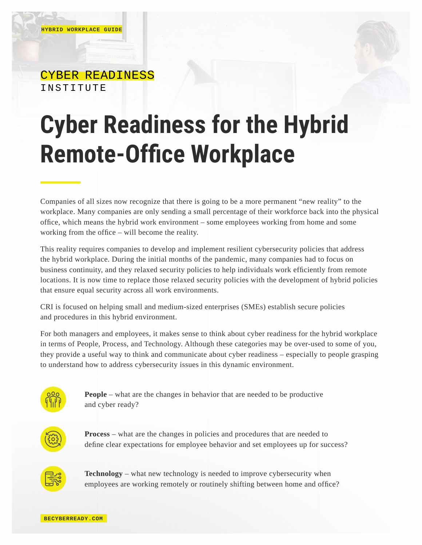## CYBER READINESS INSTITUTE

## **Cyber Readiness for the Hybrid Remote-Office Workplace**

Companies of all sizes now recognize that there is going to be a more permanent "new reality" to the workplace. Many companies are only sending a small percentage of their workforce back into the physical office, which means the hybrid work environment – some employees working from home and some working from the office – will become the reality.

This reality requires companies to develop and implement resilient cybersecurity policies that address the hybrid workplace. During the initial months of the pandemic, many companies had to focus on business continuity, and they relaxed security policies to help individuals work efficiently from remote locations. It is now time to replace those relaxed security policies with the development of hybrid policies that ensure equal security across all work environments.

CRI is focused on helping small and medium-sized enterprises (SMEs) establish secure policies and procedures in this hybrid environment.

For both managers and employees, it makes sense to think about cyber readiness for the hybrid workplace in terms of People, Process, and Technology. Although these categories may be over-used to some of you, they provide a useful way to think and communicate about cyber readiness – especially to people grasping to understand how to address cybersecurity issues in this dynamic environment.



**People** – what are the changes in behavior that are needed to be productive and cyber ready?



**Process** – what are the changes in policies and procedures that are needed to define clear expectations for employee behavior and set employees up for success?



**Technology** – what new technology is needed to improve cybersecurity when employees are working remotely or routinely shifting between home and office?